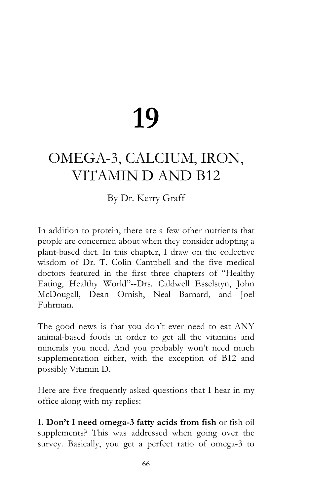# **19**

## OMEGA-3, CALCIUM, IRON, VITAMIN D AND B12

### By Dr. Kerry Graff

In addition to protein, there are a few other nutrients that people are concerned about when they consider adopting a plant-based diet. In this chapter, I draw on the collective wisdom of Dr. T. Colin Campbell and the five medical doctors featured in the first three chapters of "Healthy Eating, Healthy World"--Drs. Caldwell Esselstyn, John McDougall, Dean Ornish, Neal Barnard, and Joel Fuhrman.

The good news is that you don't ever need to eat ANY animal-based foods in order to get all the vitamins and minerals you need. And you probably won't need much supplementation either, with the exception of B12 and possibly Vitamin D.

Here are five frequently asked questions that I hear in my office along with my replies:

**1. Don't I need omega-3 fatty acids from fish** or fish oil supplements? This was addressed when going over the survey. Basically, you get a perfect ratio of omega-3 to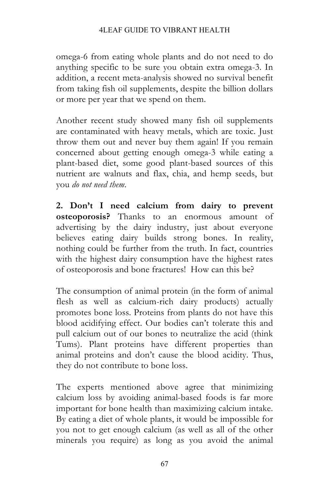omega-6 from eating whole plants and do not need to do anything specific to be sure you obtain extra omega-3. In addition, a recent meta-analysis showed no survival benefit from taking fish oil supplements, despite the billion dollars or more per year that we spend on them.

Another recent study showed many fish oil supplements are contaminated with heavy metals, which are toxic. Just throw them out and never buy them again! If you remain concerned about getting enough omega-3 while eating a plant-based diet, some good plant-based sources of this nutrient are walnuts and flax, chia, and hemp seeds, but you *do not need them*.

**2. Don't I need calcium from dairy to prevent osteoporosis?** Thanks to an enormous amount of advertising by the dairy industry, just about everyone believes eating dairy builds strong bones. In reality, nothing could be further from the truth. In fact, countries with the highest dairy consumption have the highest rates of osteoporosis and bone fractures! How can this be?

The consumption of animal protein (in the form of animal flesh as well as calcium-rich dairy products) actually promotes bone loss. Proteins from plants do not have this blood acidifying effect. Our bodies can't tolerate this and pull calcium out of our bones to neutralize the acid (think Tums). Plant proteins have different properties than animal proteins and don't cause the blood acidity. Thus, they do not contribute to bone loss.

The experts mentioned above agree that minimizing calcium loss by avoiding animal-based foods is far more important for bone health than maximizing calcium intake. By eating a diet of whole plants, it would be impossible for you not to get enough calcium (as well as all of the other minerals you require) as long as you avoid the animal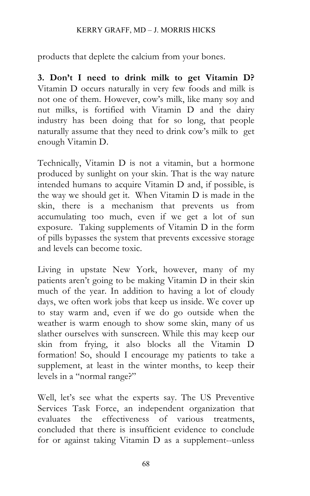#### KERRY GRAFF, MD – J. MORRIS HICKS

products that deplete the calcium from your bones.

**3. Don't I need to drink milk to get Vitamin D?** Vitamin D occurs naturally in very few foods and milk is not one of them. However, cow's milk, like many soy and nut milks, is fortified with Vitamin D and the dairy industry has been doing that for so long, that people naturally assume that they need to drink cow's milk to get enough Vitamin D.

Technically, Vitamin D is not a vitamin, but a hormone produced by sunlight on your skin. That is the way nature intended humans to acquire Vitamin D and, if possible, is the way we should get it. When Vitamin D is made in the skin, there is a mechanism that prevents us from accumulating too much, even if we get a lot of sun exposure. Taking supplements of Vitamin D in the form of pills bypasses the system that prevents excessive storage and levels can become toxic.

Living in upstate New York, however, many of my patients aren't going to be making Vitamin D in their skin much of the year. In addition to having a lot of cloudy days, we often work jobs that keep us inside. We cover up to stay warm and, even if we do go outside when the weather is warm enough to show some skin, many of us slather ourselves with sunscreen. While this may keep our skin from frying, it also blocks all the Vitamin D formation! So, should I encourage my patients to take a supplement, at least in the winter months, to keep their levels in a "normal range?"

Well, let's see what the experts say. The US Preventive Services Task Force, an independent organization that evaluates the effectiveness of various treatments, concluded that there is insufficient evidence to conclude for or against taking Vitamin D as a supplement--unless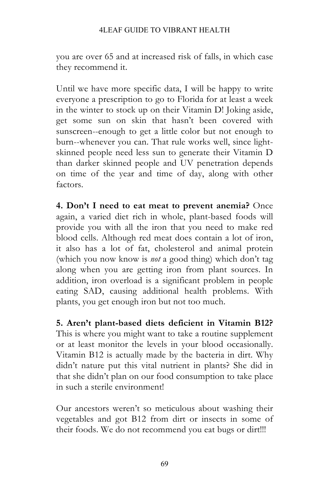#### 4LEAF GUIDE TO VIBRANT HEALTH

you are over 65 and at increased risk of falls, in which case they recommend it.

Until we have more specific data, I will be happy to write everyone a prescription to go to Florida for at least a week in the winter to stock up on their Vitamin D! Joking aside, get some sun on skin that hasn't been covered with sunscreen--enough to get a little color but not enough to burn--whenever you can. That rule works well, since lightskinned people need less sun to generate their Vitamin D than darker skinned people and UV penetration depends on time of the year and time of day, along with other factors.

**4. Don't I need to eat meat to prevent anemia?** Once again, a varied diet rich in whole, plant-based foods will provide you with all the iron that you need to make red blood cells. Although red meat does contain a lot of iron, it also has a lot of fat, cholesterol and animal protein (which you now know is *not* a good thing) which don't tag along when you are getting iron from plant sources. In addition, iron overload is a significant problem in people eating SAD, causing additional health problems. With plants, you get enough iron but not too much.

**5. Aren't plant-based diets deficient in Vitamin B12?** This is where you might want to take a routine supplement or at least monitor the levels in your blood occasionally. Vitamin B12 is actually made by the bacteria in dirt. Why didn't nature put this vital nutrient in plants? She did in that she didn't plan on our food consumption to take place in such a sterile environment!

Our ancestors weren't so meticulous about washing their vegetables and got B12 from dirt or insects in some of their foods. We do not recommend you eat bugs or dirt!!!